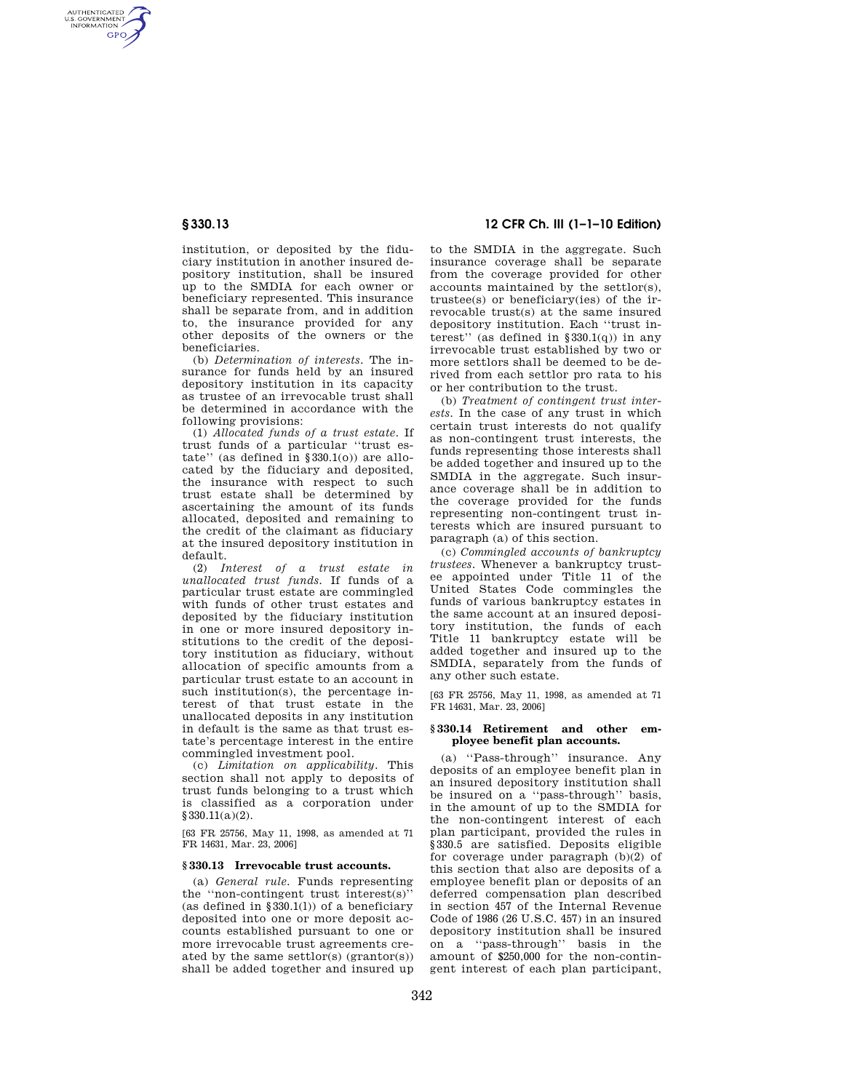AUTHENTICATED<br>U.S. GOVERNMENT<br>INFORMATION **GPO** 

> institution, or deposited by the fiduciary institution in another insured depository institution, shall be insured up to the SMDIA for each owner or beneficiary represented. This insurance shall be separate from, and in addition to, the insurance provided for any other deposits of the owners or the beneficiaries.

> (b) *Determination of interests.* The insurance for funds held by an insured depository institution in its capacity as trustee of an irrevocable trust shall be determined in accordance with the following provisions:

> (1) *Allocated funds of a trust estate.* If trust funds of a particular ''trust estate" (as defined in  $$330.1(0)$ ) are allocated by the fiduciary and deposited, the insurance with respect to such trust estate shall be determined by ascertaining the amount of its funds allocated, deposited and remaining to the credit of the claimant as fiduciary at the insured depository institution in default.

> (2) *Interest of a trust estate in unallocated trust funds.* If funds of a particular trust estate are commingled with funds of other trust estates and deposited by the fiduciary institution in one or more insured depository institutions to the credit of the depository institution as fiduciary, without allocation of specific amounts from a particular trust estate to an account in such institution(s), the percentage interest of that trust estate in the unallocated deposits in any institution in default is the same as that trust estate's percentage interest in the entire commingled investment pool.

> (c) *Limitation on applicability.* This section shall not apply to deposits of trust funds belonging to a trust which is classified as a corporation under §330.11(a)(2).

[63 FR 25756, May 11, 1998, as amended at 71 FR 14631, Mar. 23, 2006]

## **§ 330.13 Irrevocable trust accounts.**

(a) *General rule.* Funds representing the ''non-contingent trust interest(s)'' (as defined in  $\S 330.1(1)$ ) of a beneficiary deposited into one or more deposit accounts established pursuant to one or more irrevocable trust agreements created by the same settlor(s)  $(grantor(s))$ shall be added together and insured up

# **§ 330.13 12 CFR Ch. III (1–1–10 Edition)**

to the SMDIA in the aggregate. Such insurance coverage shall be separate from the coverage provided for other accounts maintained by the settlor(s), trustee(s) or beneficiary(ies) of the irrevocable trust(s) at the same insured depository institution. Each ''trust interest" (as defined in  $\S 330.1(q)$ ) in any irrevocable trust established by two or more settlors shall be deemed to be derived from each settlor pro rata to his or her contribution to the trust.

(b) *Treatment of contingent trust interests.* In the case of any trust in which certain trust interests do not qualify as non-contingent trust interests, the funds representing those interests shall be added together and insured up to the SMDIA in the aggregate. Such insurance coverage shall be in addition to the coverage provided for the funds representing non-contingent trust interests which are insured pursuant to paragraph (a) of this section.

(c) *Commingled accounts of bankruptcy trustees.* Whenever a bankruptcy trustee appointed under Title 11 of the United States Code commingles the funds of various bankruptcy estates in the same account at an insured depository institution, the funds of each Title 11 bankruptcy estate will be added together and insured up to the SMDIA, separately from the funds of any other such estate.

[63 FR 25756, May 11, 1998, as amended at 71 FR 14631, Mar. 23, 2006]

#### **§ 330.14 Retirement and other employee benefit plan accounts.**

(a) ''Pass-through'' insurance. Any deposits of an employee benefit plan in an insured depository institution shall be insured on a ''pass-through'' basis, in the amount of up to the SMDIA for the non-contingent interest of each plan participant, provided the rules in §330.5 are satisfied. Deposits eligible for coverage under paragraph (b)(2) of this section that also are deposits of a employee benefit plan or deposits of an deferred compensation plan described in section 457 of the Internal Revenue Code of 1986 (26 U.S.C. 457) in an insured depository institution shall be insured on a ''pass-through'' basis in the amount of \$250,000 for the non-contingent interest of each plan participant,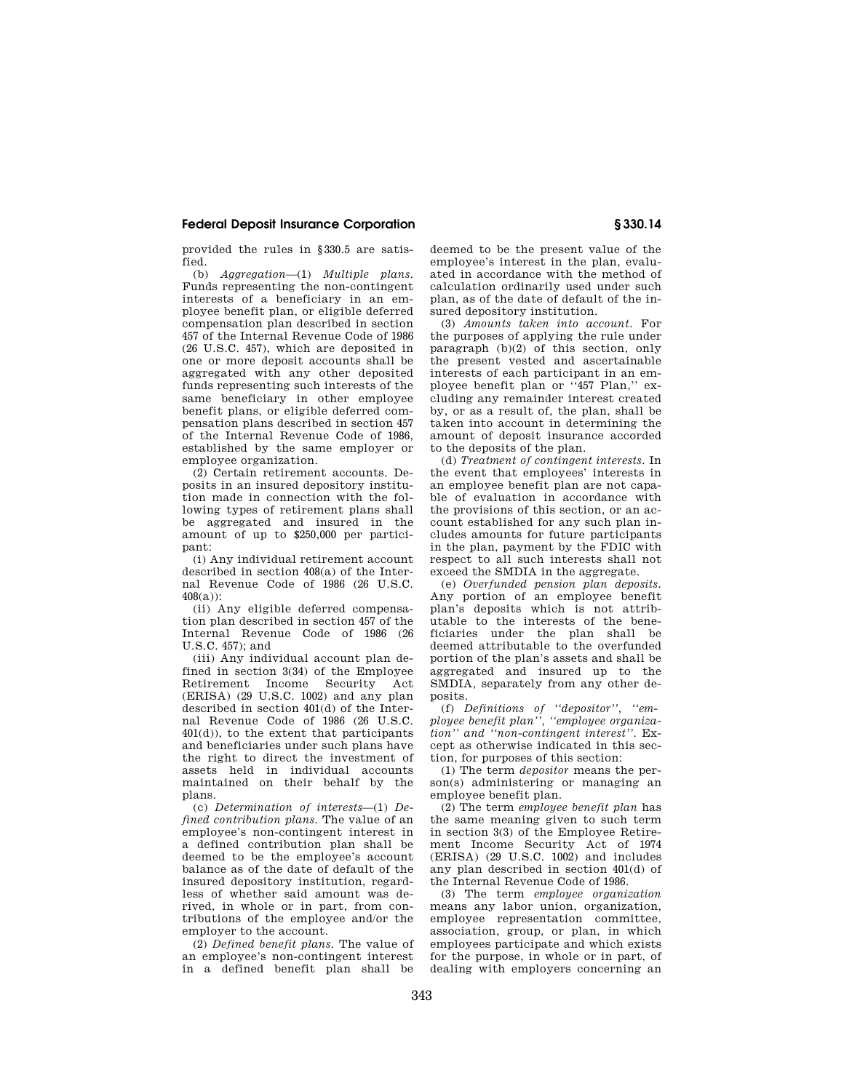# **Federal Deposit Insurance Corporation § 330.14**

provided the rules in §330.5 are satisfied.

(b) *Aggregation*—(1) *Multiple plans.*  Funds representing the non-contingent interests of a beneficiary in an employee benefit plan, or eligible deferred compensation plan described in section 457 of the Internal Revenue Code of 1986 (26 U.S.C. 457), which are deposited in one or more deposit accounts shall be aggregated with any other deposited funds representing such interests of the same beneficiary in other employee benefit plans, or eligible deferred compensation plans described in section 457 of the Internal Revenue Code of 1986, established by the same employer or employee organization.

(2) Certain retirement accounts. Deposits in an insured depository institution made in connection with the following types of retirement plans shall be aggregated and insured in the amount of up to \$250,000 per participant:

(i) Any individual retirement account described in section 408(a) of the Internal Revenue Code of 1986 (26 U.S.C.  $408(a)$ ).

(ii) Any eligible deferred compensation plan described in section 457 of the Internal Revenue Code of 1986 (26 U.S.C. 457); and

(iii) Any individual account plan defined in section 3(34) of the Employee Retirement Income Security Act (ERISA) (29 U.S.C. 1002) and any plan described in section 401(d) of the Internal Revenue Code of 1986 (26 U.S.C. 401(d)), to the extent that participants and beneficiaries under such plans have the right to direct the investment of assets held in individual accounts maintained on their behalf by the plans.

(c) *Determination of interests*—(1) *Defined contribution plans.* The value of an employee's non-contingent interest in a defined contribution plan shall be deemed to be the employee's account balance as of the date of default of the insured depository institution, regardless of whether said amount was derived, in whole or in part, from contributions of the employee and/or the employer to the account.

(2) *Defined benefit plans.* The value of an employee's non-contingent interest in a defined benefit plan shall be

deemed to be the present value of the employee's interest in the plan, evaluated in accordance with the method of calculation ordinarily used under such plan, as of the date of default of the insured depository institution.

(3) *Amounts taken into account.* For the purposes of applying the rule under paragraph (b)(2) of this section, only the present vested and ascertainable interests of each participant in an employee benefit plan or ''457 Plan,'' excluding any remainder interest created by, or as a result of, the plan, shall be taken into account in determining the amount of deposit insurance accorded to the deposits of the plan.

(d) *Treatment of contingent interests.* In the event that employees' interests in an employee benefit plan are not capable of evaluation in accordance with the provisions of this section, or an account established for any such plan includes amounts for future participants in the plan, payment by the FDIC with respect to all such interests shall not exceed the SMDIA in the aggregate.

(e) *Overfunded pension plan deposits.*  Any portion of an employee benefit plan's deposits which is not attributable to the interests of the beneficiaries under the plan shall be deemed attributable to the overfunded portion of the plan's assets and shall be aggregated and insured up to the SMDIA, separately from any other deposits.

(f) *Definitions of ''depositor'', ''employee benefit plan'', ''employee organization'' and ''non-contingent interest''.* Except as otherwise indicated in this section, for purposes of this section:

(1) The term *depositor* means the person(s) administering or managing an employee benefit plan.

(2) The term *employee benefit plan* has the same meaning given to such term in section 3(3) of the Employee Retirement Income Security Act of 1974 (ERISA) (29 U.S.C. 1002) and includes any plan described in section 401(d) of the Internal Revenue Code of 1986.

(3) The term *employee organization*  means any labor union, organization, employee representation committee, association, group, or plan, in which employees participate and which exists for the purpose, in whole or in part, of dealing with employers concerning an